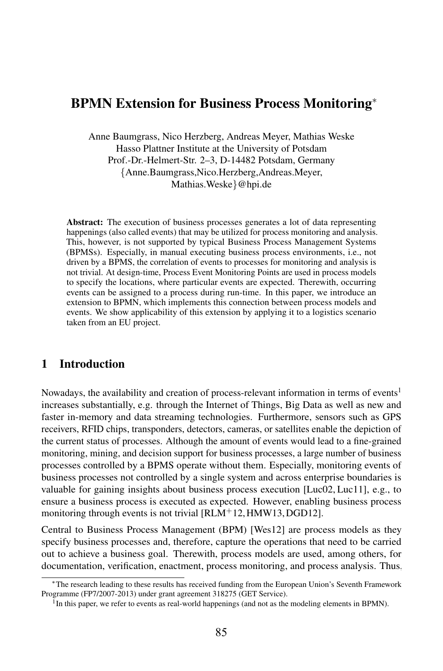# BPMN Extension for Business Process Monitoring<sup>∗</sup>

Anne Baumgrass, Nico Herzberg, Andreas Meyer, Mathias Weske Hasso Plattner Institute at the University of Potsdam Prof.-Dr.-Helmert-Str. 2–3, D-14482 Potsdam, Germany {Anne.Baumgrass,Nico.Herzberg,Andreas.Meyer, Mathias.Weske}@hpi.de

Abstract: The execution of business processes generates a lot of data representing happenings (also called events) that may be utilized for process monitoring and analysis. This, however, is not supported by typical Business Process Management Systems (BPMSs). Especially, in manual executing business process environments, i.e., not driven by a BPMS, the correlation of events to processes for monitoring and analysis is not trivial. At design-time, Process Event Monitoring Points are used in process models to specify the locations, where particular events are expected. Therewith, occurring events can be assigned to a process during run-time. In this paper, we introduce an extension to BPMN, which implements this connection between process models and events. We show applicability of this extension by applying it to a logistics scenario taken from an EU project.

#### 1 Introduction

Nowadays, the availability and creation of process-relevant information in terms of events<sup>1</sup> increases substantially, e.g. through the Internet of Things, Big Data as well as new and faster in-memory and data streaming technologies. Furthermore, sensors such as GPS receivers, RFID chips, transponders, detectors, cameras, or satellites enable the depiction of the current status of processes. Although the amount of events would lead to a fine-grained monitoring, mining, and decision support for business processes, a large number of business processes controlled by a BPMS operate without them. Especially, monitoring events of business processes not controlled by a single system and across enterprise boundaries is valuable for gaining insights about business process execution [Luc02, Luc11], e.g., to ensure a business process is executed as expected. However, enabling business process monitoring through events is not trivial [RLM+12, HMW13, DGD12].

Central to Business Process Management (BPM) [Wes12] are process models as they specify business processes and, therefore, capture the operations that need to be carried out to achieve a business goal. Therewith, process models are used, among others, for documentation, verification, enactment, process monitoring, and process analysis. Thus,

<sup>∗</sup>The research leading to these results has received funding from the European Union's Seventh Framework Programme (FP7/2007-2013) under grant agreement 318275 (GET Service).

<sup>&</sup>lt;sup>1</sup>In this paper, we refer to events as real-world happenings (and not as the modeling elements in BPMN).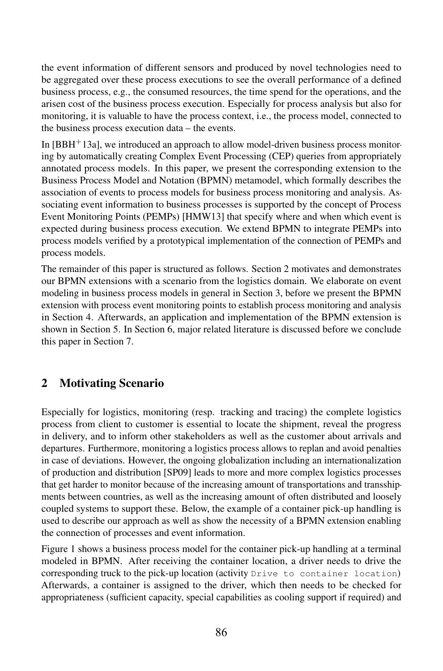the event information of different sensors and produced by novel technologies need to be aggregated over these process executions to see the overall performance of a defined business process, e.g., the consumed resources, the time spend for the operations, and the arisen cost of the business process execution. Especially for process analysis but also for monitoring, it is valuable to have the process context, i.e., the process model, connected to the business process execution data – the events.

In  $[BBH<sup>+</sup>13a]$ , we introduced an approach to allow model-driven business process monitoring by automatically creating Complex Event Processing (CEP) queries from appropriately annotated process models. In this paper, we present the corresponding extension to the Business Process Model and Notation (BPMN) metamodel, which formally describes the association of events to process models for business process monitoring and analysis. Associating event information to business processes is supported by the concept of Process Event Monitoring Points (PEMPs) [HMW13] that specify where and when which event is expected during business process execution. We extend BPMN to integrate PEMPs into process models verified by a prototypical implementation of the connection of PEMPs and process models.

The remainder of this paper is structured as follows. Section 2 motivates and demonstrates our BPMN extensions with a scenario from the logistics domain. We elaborate on event modeling in business process models in general in Section 3, before we present the BPMN extension with process event monitoring points to establish process monitoring and analysis in Section 4. Afterwards, an application and implementation of the BPMN extension is shown in Section 5. In Section 6, major related literature is discussed before we conclude this paper in Section 7.

# 2 Motivating Scenario

Especially for logistics, monitoring (resp. tracking and tracing) the complete logistics process from client to customer is essential to locate the shipment, reveal the progress in delivery, and to inform other stakeholders as well as the customer about arrivals and departures. Furthermore, monitoring a logistics process allows to replan and avoid penalties in case of deviations. However, the ongoing globalization including an internationalization of production and distribution [SP09] leads to more and more complex logistics processes that get harder to monitor because of the increasing amount of transportations and transshipments between countries, as well as the increasing amount of often distributed and loosely coupled systems to support these. Below, the example of a container pick-up handling is used to describe our approach as well as show the necessity of a BPMN extension enabling the connection of processes and event information.

Figure 1 shows a business process model for the container pick-up handling at a terminal modeled in BPMN. After receiving the container location, a driver needs to drive the corresponding truck to the pick-up location (activity Drive to container location). Afterwards, a container is assigned to the driver, which then needs to be checked for appropriateness (sufficient capacity, special capabilities as cooling support if required) and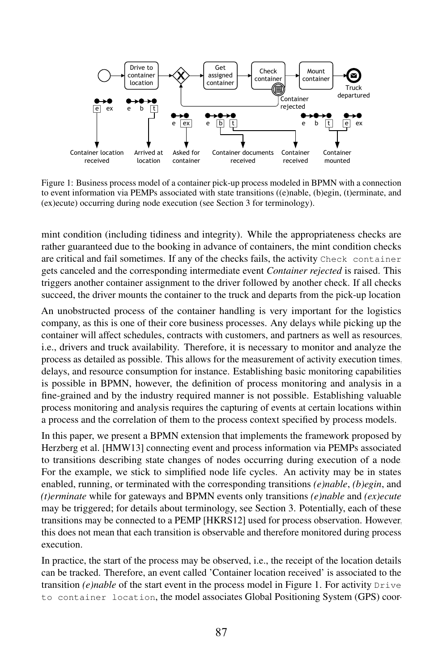

Figure 1: Business process model of a container pick-up process modeled in BPMN with a connection to event information via PEMPs associated with state transitions ((e)nable, (b)egin, (t)erminate, and (ex)ecute) occurring during node execution (see Section 3 for terminology).

mint condition (including tidiness and integrity). While the appropriateness checks are rather guaranteed due to the booking in advance of containers, the mint condition checks are critical and fail sometimes. If any of the checks fails, the activity Check container gets canceled and the corresponding intermediate event *Container rejected* is raised. This triggers another container assignment to the driver followed by another check. If all checks succeed, the driver mounts the container to the truck and departs from the pick-up location.

An unobstructed process of the container handling is very important for the logistics company, as this is one of their core business processes. Any delays while picking up the container will affect schedules, contracts with customers, and partners as well as resources, i.e., drivers and truck availability. Therefore, it is necessary to monitor and analyze the process as detailed as possible. This allows for the measurement of activity execution times, delays, and resource consumption for instance. Establishing basic monitoring capabilities is possible in BPMN, however, the definition of process monitoring and analysis in a fine-grained and by the industry required manner is not possible. Establishing valuable process monitoring and analysis requires the capturing of events at certain locations within a process and the correlation of them to the process context specified by process models.

In this paper, we present a BPMN extension that implements the framework proposed by Herzberg et al. [HMW13] connecting event and process information via PEMPs associated to transitions describing state changes of nodes occurring during execution of a node. For the example, we stick to simplified node life cycles. An activity may be in states enabled, running, or terminated with the corresponding transitions *(e)nable*, *(b)egin*, and *(t)erminate* while for gateways and BPMN events only transitions *(e)nable* and *(ex)ecute* may be triggered; for details about terminology, see Section 3. Potentially, each of these transitions may be connected to a PEMP [HKRS12] used for process observation. However, this does not mean that each transition is observable and therefore monitored during process execution.

In practice, the start of the process may be observed, i.e., the receipt of the location details can be tracked. Therefore, an event called 'Container location received' is associated to the transition  $(e)$ *nable* of the start event in the process model in Figure 1. For activity  $Drive$ to container location, the model associates Global Positioning System (GPS) coor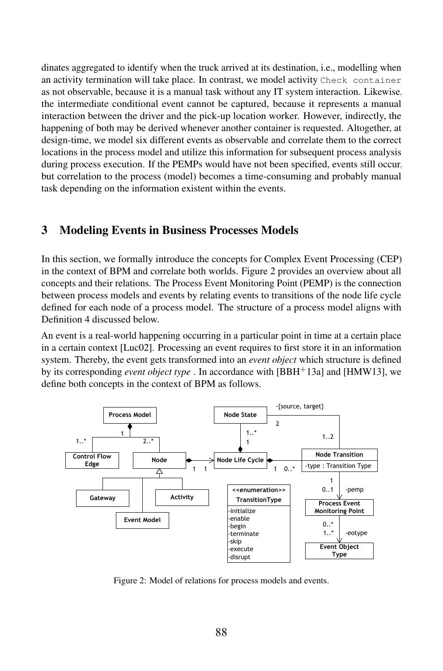dinates aggregated to identify when the truck arrived at its destination, i.e., modelling when an activity termination will take place. In contrast, we model activity Check container as not observable, because it is a manual task without any IT system interaction. Likewise, the intermediate conditional event cannot be captured, because it represents a manual interaction between the driver and the pick-up location worker. However, indirectly, the happening of both may be derived whenever another container is requested. Altogether, at design-time, we model six different events as observable and correlate them to the correct locations in the process model and utilize this information for subsequent process analysis during process execution. If the PEMPs would have not been specified, events still occur, but correlation to the process (model) becomes a time-consuming and probably manual task depending on the information existent within the events.

### 3 Modeling Events in Business Processes Models

In this section, we formally introduce the concepts for Complex Event Processing (CEP) in the context of BPM and correlate both worlds. Figure 2 provides an overview about all concepts and their relations. The Process Event Monitoring Point (PEMP) is the connection between process models and events by relating events to transitions of the node life cycle defined for each node of a process model. The structure of a process model aligns with Definition 4 discussed below.

An event is a real-world happening occurring in a particular point in time at a certain place in a certain context [Luc02]. Processing an event requires to first store it in an information system. Thereby, the event gets transformed into an *event object* which structure is defined by its corresponding *event object type* . In accordance with [BBH<sup>+</sup>13a] and [HMW13], we define both concepts in the context of BPM as follows.



Figure 2: Model of relations for process models and events.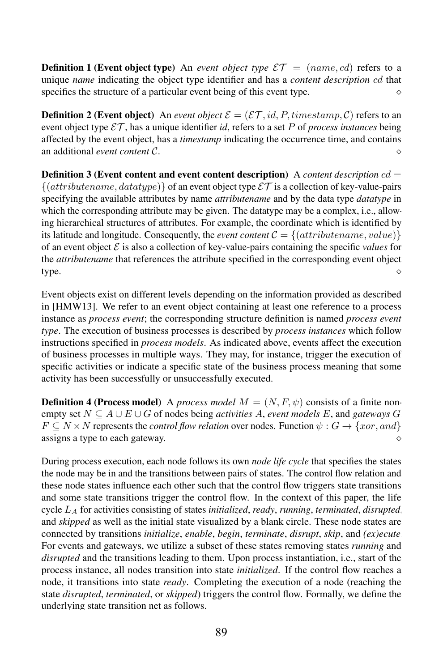**Definition 1 (Event object type)** An *event object type*  $\mathcal{E}\mathcal{T} = (name, cd)$  refers to a unique *name* indicating the object type identifier and has a *content description* cd that specifies the structure of a particular event being of this event type.  $\Diamond$ 

**Definition 2 (Event object)** An *event object*  $\mathcal{E} = (\mathcal{E} \mathcal{T}, id, P, timestamp, C)$  refers to an event object type  $\mathcal{E}\mathcal{T}$ , has a unique identifier *id*, refers to a set P of *process instances* being affected by the event object, has a *timestamp* indicating the occurrence time, and contains an additional *event content* C.

Definition 3 (Event content and event content description) A *content description* cd =  $\{(attribute name, datotype)\}\$  of an event object type  $\mathcal{ET}$  is a collection of key-value-pairs specifying the available attributes by name *attributename* and by the data type *datatype* in which the corresponding attribute may be given. The datatype may be a complex, i.e., allowing hierarchical structures of attributes. For example, the coordinate which is identified by its latitude and longitude. Consequently, the *event content*  $C = \{(attribute name, value)\}\$ of an event object  $\mathcal E$  is also a collection of key-value-pairs containing the specific *values* for the *attributename* that references the attribute specified in the corresponding event object type.  $\qquad \qquad \diamond$ 

Event objects exist on different levels depending on the information provided as described in [HMW13]. We refer to an event object containing at least one reference to a process instance as *process event*; the corresponding structure definition is named *process event type*. The execution of business processes is described by *process instances* which follow instructions specified in *process models*. As indicated above, events affect the execution of business processes in multiple ways. They may, for instance, trigger the execution of specific activities or indicate a specific state of the business process meaning that some activity has been successfully or unsuccessfully executed.

**Definition 4 (Process model)** A *process model*  $M = (N, F, \psi)$  consists of a finite nonempty set  $N \subset A \cup E \cup G$  of nodes being *activities* A, *event models* E, and *gateways* G.  $F \subseteq N \times N$  represents the *control flow relation* over nodes. Function  $\psi : G \to \{x \text{ or, and}\}\$ assigns a type to each gateway.

During process execution, each node follows its own *node life cycle* that specifies the states the node may be in and the transitions between pairs of states. The control flow relation and these node states influence each other such that the control flow triggers state transitions and some state transitions trigger the control flow. In the context of this paper, the life cycle L<sup>A</sup> for activities consisting of states *initialized*, *ready*, *running*, *terminated*, *disrupted*, and *skipped* as well as the initial state visualized by a blank circle. These node states are connected by transitions *initialize*, *enable*, *begin*, *terminate*, *disrupt*, *skip*, and *(ex)ecute*. For events and gateways, we utilize a subset of these states removing states *running* and *disrupted* and the transitions leading to them. Upon process instantiation, i.e., start of the process instance, all nodes transition into state *initialized*. If the control flow reaches a node, it transitions into state *ready*. Completing the execution of a node (reaching the state *disrupted*, *terminated*, or *skipped*) triggers the control flow. Formally, we define the underlying state transition net as follows.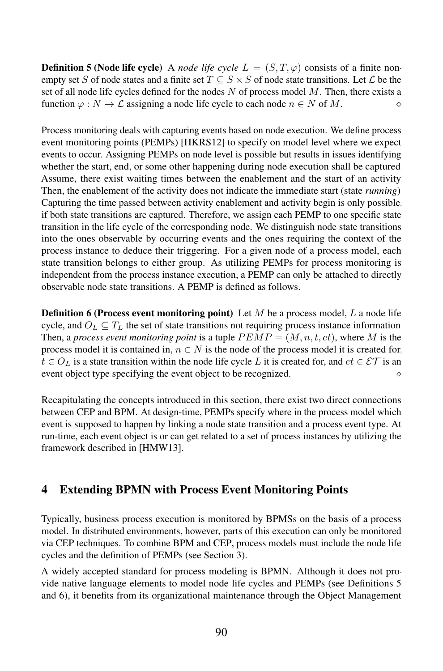**Definition 5 (Node life cycle)** A *node life cycle*  $L = (S, T, \varphi)$  consists of a finite nonempty set S of node states and a finite set  $T \subseteq S \times S$  of node state transitions. Let L be the set of all node life cycles defined for the nodes  $N$  of process model  $M$ . Then, there exists a function  $\varphi : N \to \mathcal{L}$  assigning a node life cycle to each node  $n \in N$  of M.

Process monitoring deals with capturing events based on node execution. We define process event monitoring points (PEMPs) [HKRS12] to specify on model level where we expect events to occur. Assigning PEMPs on node level is possible but results in issues identifying whether the start, end, or some other happening during node execution shall be captured. Assume, there exist waiting times between the enablement and the start of an activity. Then, the enablement of the activity does not indicate the immediate start (state *running*). Capturing the time passed between activity enablement and activity begin is only possible, if both state transitions are captured. Therefore, we assign each PEMP to one specific state transition in the life cycle of the corresponding node. We distinguish node state transitions into the ones observable by occurring events and the ones requiring the context of the process instance to deduce their triggering. Foragiven node of a process model, each state transition belongs to either group. As utilizing PEMPs for process monitoring is independent from the process instance execution, a PEMP can only be attached to directly observable node state transitions. A PEMP is defined as follows.

**Definition 6 (Process event monitoring point)** Let  $M$  be a process model,  $L$  a node life cycle, and  $O_L \subseteq T_L$  the set of state transitions not requiring process instance information. Then, a *process event monitoring point* is a tuple  $PEMP = (M, n, t, et)$ , where M is the process model it is contained in,  $n \in N$  is the node of the process model it is created for,  $t \in O_L$  is a state transition within the node life cycle L it is created for, and  $et \in \mathcal{ET}$  is an event object type specifying the event object to be recognized.  $\Diamond$ 

Recapitulating the concepts introduced in this section, there exist two direct connections between CEP and BPM. At design-time, PEMPs specify where in the process model which event is supposed to happen by linking a node state transition and a process event type. At run-time, each event object is or can get related to a set of process instances by utilizing the framework described in [HMW13].

### 4 Extending BPMN with Process Event Monitoring Points

Typically, business process execution is monitored by BPMSs on the basis of a process model. In distributed environments, however, parts of this execution can only be monitored via CEP techniques. To combine BPM and CEP, process models must include the node life cycles and the definition of PEMPs (see Section 3).

A widely accepted standard for process modeling is BPMN. Although it does not provide native language elements to model node life cycles and PEMPs (see Definitions 5 and 6), it benefits from its organizational maintenance through the Object Management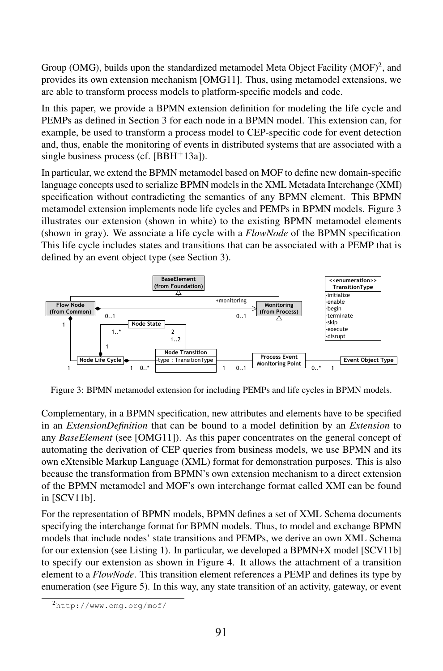Group (OMG), builds upon the standardized metamodel Meta Object Facility (MOF)<sup>2</sup>, and provides its own extension mechanism [OMG11]. Thus, using metamodel extensions, we are able to transform process models to platform-specific models and code.

In this paper, we provide a BPMN extension definition for modeling the life cycle and PEMPs as defined in Section 3 for each node in a BPMN model. This extension can, for example, be used to transform a process model to CEP-specific code for event detection and, thus, enable the monitoring of events in distributed systems that are associated with a single business process (cf.  $[BBH<sup>+</sup>13a]$ ).

In particular, we extend the BPMN metamodel based on MOF to define new domain-specific language concepts used to serialize BPMN models in the XML Metadata Interchange (XMI) specification without contradicting the semantics of any BPMN element. This BPMN metamodel extension implements node life cycles and PEMPs in BPMN models. Figure 3 illustrates our extension (shown in white) to the existing BPMN metamodel elements (shown in gray). We associate a life cycle with a *FlowNode* of the BPMN specification. This life cycle includes states and transitions that can be associated with a PEMP that is defined by an event object type (see Section 3).



Figure 3: BPMN metamodel extension for including PEMPs and life cycles in BPMN models.

Complementary, in a BPMN specification, new attributes and elements have to be specified in an *ExtensionDefinition* that can be bound to a model definition by an *Extension* to any *BaseElement* (see [OMG11]). As this paper concentrates on the general concept of automating the derivation of CEP queries from business models, we use BPMN and its own eXtensible Markup Language (XML) format for demonstration purposes. This is also because the transformation from BPMN's own extension mechanism to a direct extension of the BPMN metamodel and MOF's own interchange format called XMI can be found in [SCV11b].

For the representation of BPMN models, BPMN defines a set of XML Schema documents specifying the interchange format for BPMN models. Thus, to model and exchange BPMN models that include nodes' state transitions and PEMPs, we derive an own XML Schema for our extension (see Listing 1). In particular, we developed a BPMN+X model [SCV11b] to specify our extension as shown in Figure 4. It allows the attachment of a transition element to a *FlowNode*. This transition element references a PEMP and defines its type by enumeration (see Figure 5). In this way, any state transition of an activity, gateway, or event

<sup>2</sup>http://www.omg.org/mof/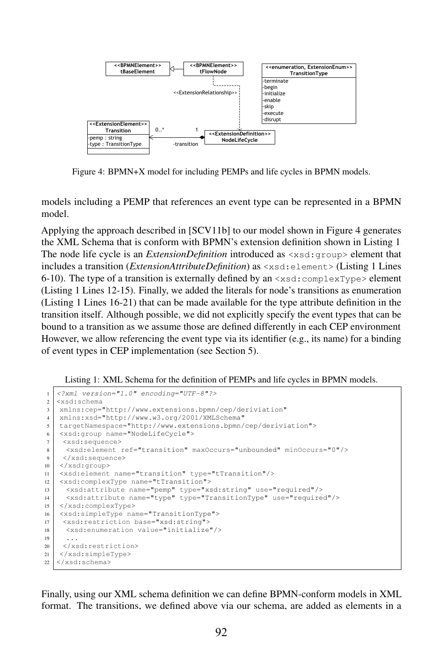

Figure 4: BPMN+X model for including PEMPs and life cycles in BPMN models.

models including a PEMP that references an event type can be represented in a BPMN model.

Applying the approach described in [SCV11b] to our model shown in Figure 4 generates the XML Schema that is conform with BPMN's extension definition shown in Listing 1. The node life cycle is an *ExtensionDefinition* introduced as  $\langle x \rangle$  sd: group> element that includes a transition (*ExtensionAttributeDefinition*) as <xsd:element> (Listing 1 Lines 6-10). The type of a transition is externally defined by an  $\langle x \rangle$  complexType beloment (Listing 1 Lines 12-15). Finally, we added the literals for node's transitions as enumeration (Listing 1 Lines 16-21) that can be made available for the type attribute definition in the transition itself. Although possible, we did not explicitly specify the event types that can be bound to a transition as we assume those are defined differently in each CEP environment. However, we allow referencing the event type via its identifier (e.g., its name) for a binding of event types in CEP implementation (see Section 5).

Listing 1: XML Schema for the definition of PEMPs and life cycles in BPMN models.

```
1 \leq ?xml version="1.0" encoding="UTF-8"?>
\begin{array}{c} 2 \ \text{xsd:scheme} \\ 3 \end{array}3 xmlns:cep="http://www.extensions.bpmn/cep/deriviation"
4 xmlns:xsd="http://www.w3.org/2001/XMLSchema"
5 targetNamespace="http://www.extensions.bpmn/cep/deriviation">
6 <xsd:group name="NodeLifeCycle">
7 <xsd:sequence>
8 <xsd:element ref="transition" maxOccurs="unbounded" minOccurs="0"/>
9 </xsd:sequence>
10 \leq \times \times \leq \leq \leq \leq \leq \leq \leq \leq \leq \leq \leq \leq \leq \leq \leq \leq \leq \leq \leq \leq \leq \leq \leq \leq \leq \leq \leq \leq \leq \leq \leq \leq \leq \11 <xsd:element name="transition" type="tTransition"/>
12 <xsd:complexType name="tTransition">
13 <xsd:attribute name="pemp" type="xsd:string" use="required"/>
14 <xsd:attribute name="type" type="TransitionType" use="required"/>
15 </xsd:complexType>
16 <xsd:simpleType name="TransitionType">
17 <xsd:restriction base="xsd:string">
18 <xsd:enumeration value="initialize"/>
19 ...
20 </xsd:restriction>
21 </xsd:simpleType>
22 \mid \langle xsd:schema>
```
Finally, using our XML schema definition we can define BPMN-conform models in XML format. The transitions, we defined above via our schema, are added as elements in a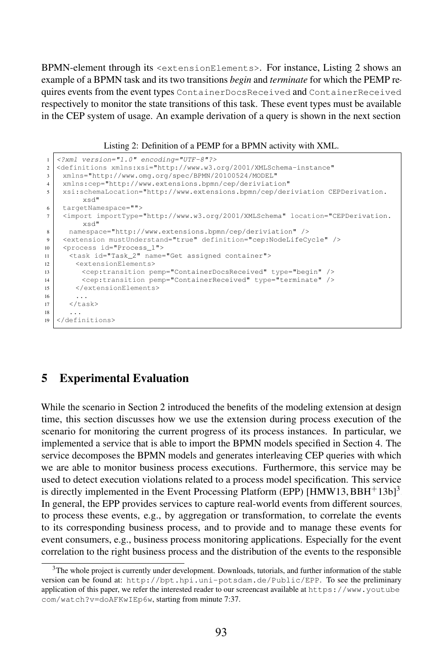BPMN-element through its <extensionElements>. For instance, Listing 2 shows an example of a BPMN task and its two transitions *begin* and *terminate* for which the PEMP requires events from the event types ContainerDocsReceived and ContainerReceived respectively to monitor the state transitions of this task. These event types must be available in the CEP system of usage. An example derivation of a query is shown in the next section.

Listing 2: Definition of a PEMP for a BPMN activity with XML.

| $\mathbf{1}$            | xml version="1.0" encoding="UTF-8"?                                                                                                                                    |
|-------------------------|------------------------------------------------------------------------------------------------------------------------------------------------------------------------|
| $\overline{\mathbf{c}}$ | <definitions <="" td="" xmlns:xsi="http://www.w3.org/2001/XMLSchema-instance"></definitions>                                                                           |
| 3                       | xmlns="http://www.omg.org/spec/BPMN/20100524/MODEL"                                                                                                                    |
| $\overline{4}$          | xmlns:cep="http://www.extensions.bpmn/cep/deriviation"                                                                                                                 |
| 5                       | xsi:schemaLocation="http://www.extensions.bpmn/cep/deriviation CEPDerivation.                                                                                          |
|                         | xsd"                                                                                                                                                                   |
| 6                       | targetNamespace="">                                                                                                                                                    |
| 7                       | <import <="" importtype="http://www.w3.org/2001/XMLSchema" location="CEPDerivation.&lt;/td&gt;&lt;/tr&gt;&lt;tr&gt;&lt;td&gt;&lt;/td&gt;&lt;td&gt;xsd" td=""></import> |
| 8                       | namespace="http://www.extensions.bpmn/cep/deriviation" />                                                                                                              |
| $\mathbf{Q}$            | <extension definition="cep:NodeLifeCycle" mustunderstand="true"></extension>                                                                                           |
| 10                      | <process id="Process 1"></process>                                                                                                                                     |
| 11                      | <task id="Task 2" name="Get assigned container"></task>                                                                                                                |
| 12                      | <extensionelements></extensionelements>                                                                                                                                |
| 13                      | <cep:transition pemp="ContainerDocsReceived" type="begin"></cep:transition>                                                                                            |
| 14                      | <cep:transition pemp="ContainerReceived" type="terminate"></cep:transition>                                                                                            |
| 15                      |                                                                                                                                                                        |
| 16                      | $\ddots$                                                                                                                                                               |
| 17                      | $\langle$ /task>                                                                                                                                                       |
| 18                      | .                                                                                                                                                                      |
| 19                      |                                                                                                                                                                        |

### 5 Experimental Evaluation

While the scenario in Section 2 introduced the benefits of the modeling extension at design time, this section discusses how we use the extension during process execution of the scenario for monitoring the current progress of its process instances. In particular, we implemented a service that is able to import the BPMN models specified in Section 4. The service decomposes the BPMN models and generates interleaving CEP queries with which we are able to monitor business process executions. Furthermore, this service may be used to detect execution violations related to a process model specification. This service is directly implemented in the Event Processing Platform (EPP)  $[HMW13, BBH+13b]$ <sup>3</sup>. In general, the EPP provides services to capture real-world events from different sources, to process these events, e.g., by aggregation or transformation, to correlate the events to its corresponding business process, and to provide and to manage these events for event consumers, e.g., business process monitoring applications. Especially for the event correlation to the right business process and the distribution of the events to the responsible

<sup>&</sup>lt;sup>3</sup>The whole project is currently under development. Downloads, tutorials, and further information of the stable version can be found at: http://bpt.hpi.uni-potsdam.de/Public/EPP. To see the preliminary application of this paper, we refer the interested reader to our screencast available at https://www.youtube. com/watch?v=doAFKwIEp6w, starting from minute 7:37.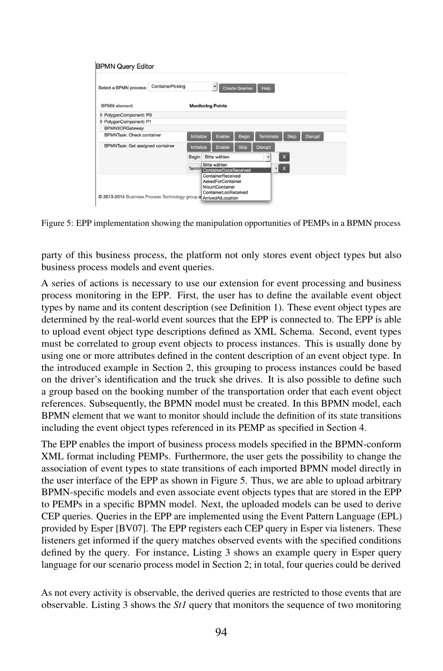| Select a BPMN process:                                            | ContainerPicking |            |                                                      |                                                                                         | Create Queries | Help           |              |                |
|-------------------------------------------------------------------|------------------|------------|------------------------------------------------------|-----------------------------------------------------------------------------------------|----------------|----------------|--------------|----------------|
| <b>BPMN</b> element                                               |                  |            |                                                      | <b>Monitoring Points</b>                                                                |                |                |              |                |
| PolygonComponent: P0                                              |                  |            |                                                      |                                                                                         |                |                |              |                |
| PolygonComponent: P1                                              |                  |            |                                                      |                                                                                         |                |                |              |                |
| <b>BPMNXORGateway</b>                                             |                  |            |                                                      |                                                                                         |                |                |              |                |
| <b>BPMNTask: Check container</b>                                  |                  | Initialize |                                                      | Enable                                                                                  | <b>Begin</b>   | Terminate      | <b>Skip</b>  | <b>Disrupt</b> |
| BPMNTask: Get assigned container                                  |                  | Initialize |                                                      | Enable                                                                                  | <b>Skip</b>    | <b>Disrupt</b> |              |                |
|                                                                   |                  | Begin      |                                                      | Bitte wählen                                                                            |                | ٠              | $\mathsf{x}$ |                |
|                                                                   |                  |            | Bitte wählen<br>$ x$<br>Termin ContainerDocsReceived |                                                                                         |                |                |              |                |
| @ 2013-2014 Business Process Technology group a ArrivedAtLocation |                  |            |                                                      | ContainerReceived<br><b>AskedForContainer</b><br>MountContainer<br>ContainerLocReceived |                |                |              |                |

Figure 5: EPP implementation showing the manipulation opportunities of PEMPs in a BPMN process.

party of this business process, the platform not only stores event object types but also business process models and event queries.

A series of actions is necessary to use our extension for event processing and business process monitoring in the EPP. First, the user has to define the available event object types by name and its content description (see Definition 1). These event object types are determined by the real-world event sources that the EPP is connected to. The EPP is able to upload event object type descriptions defined as XML Schema. Second, event types must be correlated to group event objects to process instances. This is usually done by using one or more attributes defined in the content description of an event object type. In the introduced example in Section 2, this grouping to process instances could be based on the driver's identification and the truck she drives. It is also possible to define such a group based on the booking number of the transportation order that each event object references. Subsequently, the BPMN model must be created. In this BPMN model, each BPMN element that we want to monitor should include the definition of its state transitions including the event object types referenced in its PEMP as specified in Section 4.

The EPP enables the import of business process models specified in the BPMN-conform XML format including PEMPs. Furthermore, the user gets the possibility to change the association of event types to state transitions of each imported BPMN model directly in the user interface of the EPP as shown in Figure 5. Thus, we are able to upload arbitrary BPMN-specific models and even associate event objects types that are stored in the EPP to PEMPs in a specific BPMN model. Next, the uploaded models can be used to derive CEP queries. Queries in the EPP are implemented using the Event Pattern Language (EPL) provided by Esper [BV07]. The EPP registers each CEP query in Esper via listeners. These listeners get informed if the query matches observed events with the specified conditions defined by the query. For instance, Listing 3 shows an example query in Esper query language for our scenario process model in Section 2; in total, four queries could be derived.

As not every activity is observable, the derived queries are restricted to those events that are observable. Listing 3 shows the *St1* query that monitors the sequence of two monitoring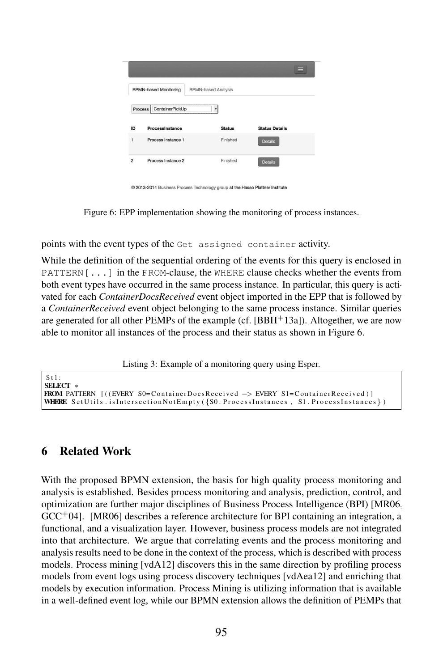|                      |                              |                            | =                     |
|----------------------|------------------------------|----------------------------|-----------------------|
|                      | <b>BPMN-based Monitoring</b> | <b>BPMN-based Analysis</b> |                       |
|                      | ContainerPickUp<br>Process   |                            |                       |
|                      |                              |                            |                       |
|                      | Processinstance              | <b>Status</b>              | <b>Status Details</b> |
| ID<br>$\overline{1}$ | Process Instance 1           | Finished                   | <b>Details</b>        |

@ 2013-2014 Business Process Technology group at the Hasso Plattner Institute

Figure 6: EPP implementation showing the monitoring of process instances.

points with the event types of the Get assigned container activity.

While the definition of the sequential ordering of the events for this query is enclosed in PATTERN[...] in the FROM-clause, the WHERE clause checks whether the events from both event types have occurred in the same process instance. In particular, this query is activated for each *ContainerDocsReceived* event object imported in the EPP that is followed by a *ContainerReceived* event object belonging to the same process instance. Similar queries are generated for all other PEMPs of the example (cf.  $[BBH<sup>+</sup>13a]$ ). Altogether, we are now able to monitor all instances of the process and their status as shown in Figure 6.

Listing 3: Example of a monitoring query using Esper.

```
St1SELECT ∗
FROM PATTERN [((EVERY S0=ContainerDocsReceived −> EVERY S1=ContainerReceived ) ]
WHERE SetUtils.isIntersectionNotEmpty ({S0. ProcessInstances, S1. ProcessInstances})
```
## 6 Related Work

With the proposed BPMN extension, the basis for high quality process monitoring and analysis is established. Besides process monitoring and analysis, prediction, control, and optimization are further major disciplines of Business Process Intelligence (BPI) [MR06,  $GCC<sup>+</sup>04$ . [MR06] describes a reference architecture for BPI containing an integration, a functional, and a visualization layer. However, business process models are not integrated into that architecture. We argue that correlating events and the process monitoring and analysis results need to be done in the context of the process, which is described with process models. Process mining [vdA12] discovers this in the same direction by profiling process models from event logs using process discovery techniques [vdAea12] and enriching that models by execution information. Process Mining is utilizing information that is available in a well-defined event log, while our BPMN extension allows the definition of PEMPs that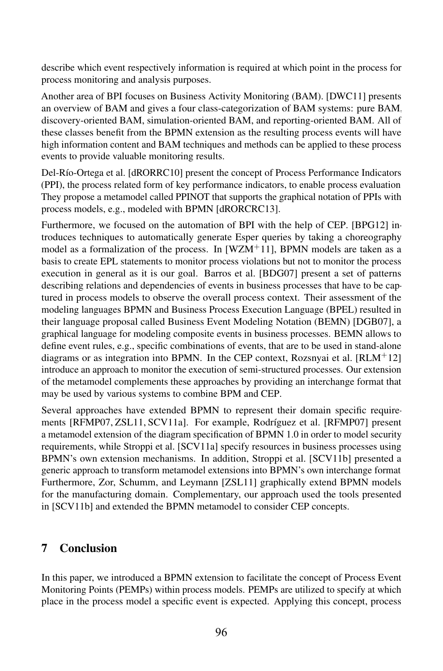describe which event respectively information is required at which point in the process for process monitoring and analysis purposes.

Another area of BPI focuses on Business Activity Monitoring (BAM). [DWC11] presents an overview of BAM and gives a four class-categorization of BAM systems: pure BAM, discovery-oriented BAM, simulation-oriented BAM, and reporting-oriented BAM. All of these classes benefit from the BPMN extension as the resulting process events will have high information content and BAM techniques and methods can be applied to these process events to provide valuable monitoring results.

Del-Río-Ortega et al. [dRORRC10] present the concept of Process Performance Indicators (PPI), the process related form of key performance indicators, to enable process evaluation. They propose a metamodel called PPINOT that supports the graphical notation of PPIs with process models, e.g., modeled with BPMN [dRORCRC13].

Furthermore, we focused on the automation of BPI with the help of CEP. [BPG12] introduces techniques to automatically generate Esper queries by taking a choreography model as a formalization of the process. In  $[WZM+11]$ , BPMN models are taken as a basis to create EPL statements to monitor process violations but not to monitor the process execution in general as it is our goal. Barros et al. [BDG07] present a set of patterns describing relations and dependencies of events in business processes that have to be captured in process models to observe the overall process context. Their assessment of the modeling languages BPMN and Business Process Execution Language (BPEL) resulted in their language proposal called Business Event Modeling Notation (BEMN) [DGB07], a graphical language for modeling composite events in business processes. BEMN allows to define event rules, e.g., specific combinations of events, that are to be used in stand-alone diagrams or as integration into BPMN. In the CEP context, Rozsnyai et al.  $[RLM<sup>+</sup>12]$ introduce an approach to monitor the execution of semi-structured processes. Our extension of the metamodel complements these approaches by providing an interchange format that may be used by various systems to combine BPM and CEP.

Several approaches have extended BPMN to represent their domain specific requirements [RFMP07, ZSL11, SCV11a]. For example, Rodríguez et al. [RFMP07] present a metamodel extension of the diagram specification of BPMN 1.0 in order to model security requirements, while Stroppi et al. [SCV11a] specify resources in business processes using BPMN's own extension mechanisms. In addition, Stroppi et al. [SCV11b] presented a generic approach to transform metamodel extensions into BPMN's own interchange format. Furthermore, Zor, Schumm, and Leymann [ZSL11] graphically extend BPMN models for the manufacturing domain. Complementary, our approach used the tools presented in [SCV11b] and extended the BPMN metamodel to consider CEP concepts.

## 7 Conclusion

In this paper, we introduced a BPMN extension to facilitate the concept of Process Event Monitoring Points (PEMPs) within process models. PEMPs are utilized to specify at which place in the process model a specific event is expected. Applying this concept, process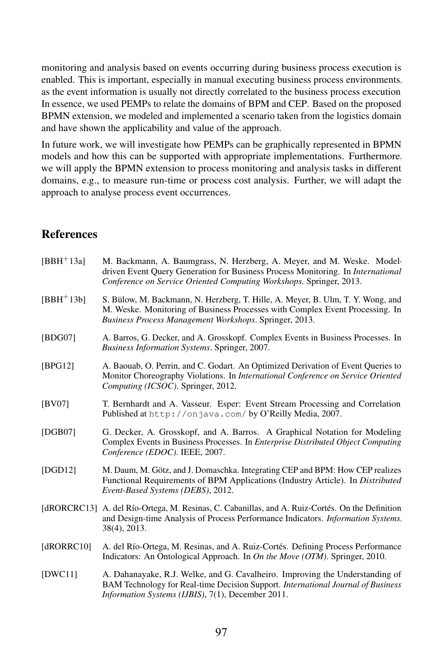monitoring and analysis based on events occurring during business process execution is enabled. This is important, especially in manual executing business process environments, as the event information is usually not directly correlated to the business process execution. In essence, we used PEMPs to relate the domains of BPM and CEP. Based on the proposed BPMN extension, we modeled and implemented a scenario taken from the logistics domain and have shown the applicability and value of the approach.

In future work, we will investigate how PEMPs can be graphically represented in BPMN models and how this can be supported with appropriate implementations. Furthermore, we will apply the BPMN extension to process monitoring and analysis tasks in different domains, e.g., to measure run-time or process cost analysis. Further, we will adapt the approach to analyse process event occurrences.

#### **References**

| [BBH <sup>+</sup> 13a] | M. Backmann, A. Baumgrass, N. Herzberg, A. Meyer, and M. Weske. Model-<br>driven Event Ouery Generation for Business Process Monitoring. In <i>International</i><br>Conference on Service Oriented Computing Workshops. Springer, 2013. |
|------------------------|-----------------------------------------------------------------------------------------------------------------------------------------------------------------------------------------------------------------------------------------|
| $[BBH+13b]$            | S. Bülow, M. Backmann, N. Herzberg, T. Hille, A. Meyer, B. Ulm, T. Y. Wong, and<br>M. Weske. Monitoring of Business Processes with Complex Event Processing. In<br>Business Process Management Workshops. Springer, 2013.               |
| [BDG07]                | A. Barros, G. Decker, and A. Grosskopf. Complex Events in Business Processes. In<br>Business Information Systems. Springer, 2007.                                                                                                       |
| [BPG12]                | A. Baouab, O. Perrin, and C. Godart. An Optimized Derivation of Event Queries to<br>Monitor Choreography Violations. In International Conference on Service Oriented<br>Computing (ICSOC). Springer, 2012.                              |
| [BV07]                 | T. Bernhardt and A. Vasseur. Esper: Event Stream Processing and Correlation<br>Published at http://onjava.com/by O'Reilly Media, 2007.                                                                                                  |
| [DGB07]                | G. Decker, A. Grosskopf, and A. Barros. A Graphical Notation for Modeling<br>Complex Events in Business Processes. In <i>Enterprise Distributed Object Computing</i><br>Conference (EDOC). IEEE, 2007.                                  |
| [DGD12]                | M. Daum, M. Götz, and J. Domaschka. Integrating CEP and BPM: How CEP realizes<br>Functional Requirements of BPM Applications (Industry Article). In Distributed<br>Event-Based Systems (DEBS), 2012.                                    |
|                        | [dRORCRC13] A. del Río-Ortega, M. Resinas, C. Cabanillas, and A. Ruiz-Cortés. On the Definition<br>and Design-time Analysis of Process Performance Indicators. Information Systems,<br>38(4), 2013.                                     |
| [ $dRORRC10$ ]         | A. del Río-Ortega, M. Resinas, and A. Ruiz-Cortés. Defining Process Performance<br>Indicators: An Ontological Approach. In <i>On the Move (OTM)</i> . Springer, 2010.                                                                   |
| IDWC111                | A. Dahanayake, R.J. Welke, and G. Cavalheiro. Improving the Understanding of<br>BAM Technology for Real-time Decision Support. International Journal of Business<br>Information Systems (IJBIS), 7(1), December 2011.                   |
|                        |                                                                                                                                                                                                                                         |